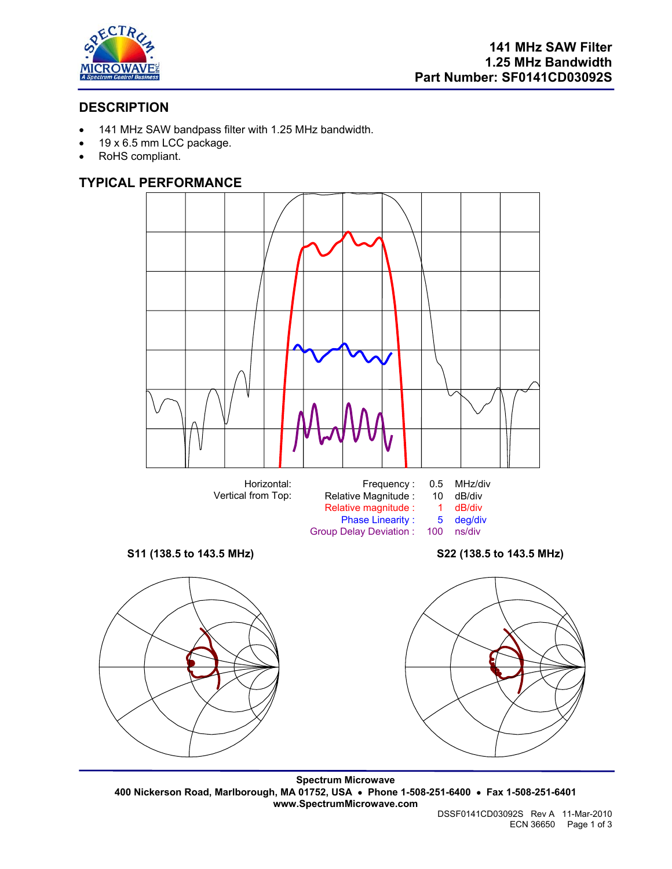

# **DESCRIPTION**

- 141 MHz SAW bandpass filter with 1.25 MHz bandwidth.
- 19 x 6.5 mm LCC package.
- RoHS compliant.

## **TYPICAL PERFORMANCE**



Group Delay Deviation :







**Spectrum Microwave 400 Nickerson Road, Marlborough, MA 01752, USA** • **Phone 1-508-251-6400** • **Fax 1-508-251-6401 www.SpectrumMicrowave.com**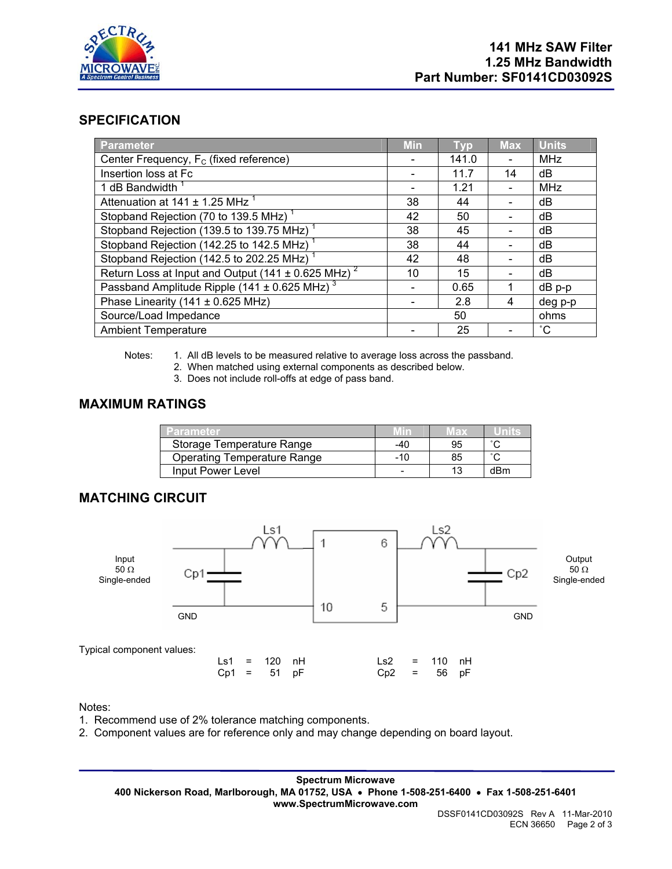

## **SPECIFICATION**

| <b>Parameter</b>                                                   | <b>Min</b> | Tvp   | <b>Max</b> | <b>Units</b> |
|--------------------------------------------------------------------|------------|-------|------------|--------------|
| Center Frequency, F <sub>c</sub> (fixed reference)                 |            | 141.0 |            | MHz          |
| Insertion loss at Fc                                               |            | 11.7  | 14         | dB           |
| 1 dB Bandwidth <sup>1</sup>                                        |            | 1.21  |            | <b>MHz</b>   |
| Attenuation at 141 $\pm$ 1.25 MHz $^1$                             | 38         | 44    |            | dB           |
| Stopband Rejection (70 to 139.5 MHz) <sup>1</sup>                  | 42         | 50    |            | dB           |
| Stopband Rejection (139.5 to 139.75 MHz) <sup>1</sup>              | 38         | 45    |            | dB           |
| Stopband Rejection (142.25 to 142.5 MHz) <sup>1</sup>              | 38         | 44    |            | dB           |
| Stopband Rejection (142.5 to 202.25 MHz)                           | 42         | 48    |            | dB           |
| Return Loss at Input and Output (141 $\pm$ 0.625 MHz) <sup>2</sup> | 10         | 15    |            | dB           |
| Passband Amplitude Ripple (141 $\pm$ 0.625 MHz) <sup>3</sup>       |            | 0.65  |            | $dB$ p-p     |
| Phase Linearity (141 $\pm$ 0.625 MHz)                              |            | 2.8   | 4          | deg p-p      |
| Source/Load Impedance                                              | 50         |       |            | ohms         |
| <b>Ambient Temperature</b>                                         |            | 25    |            | $^{\circ}$ C |

Notes: 1. All dB levels to be measured relative to average loss across the passband.

- 2. When matched using external components as described below.
- 3. Does not include roll-offs at edge of pass band.

#### **MAXIMUM RATINGS**

| Parameter                          | Min   | Max | unne   |
|------------------------------------|-------|-----|--------|
| Storage Temperature Range          | -40   | 95  | $\sim$ |
| <b>Operating Temperature Range</b> | $-10$ | 85  | $\sim$ |
| Input Power Level                  |       | 13  | dBm    |

# **MATCHING CIRCUIT**



#### Notes:

- 1. Recommend use of 2% tolerance matching components.
- 2. Component values are for reference only and may change depending on board layout.

**Spectrum Microwave 400 Nickerson Road, Marlborough, MA 01752, USA** • **Phone 1-508-251-6400** • **Fax 1-508-251-6401 www.SpectrumMicrowave.com**